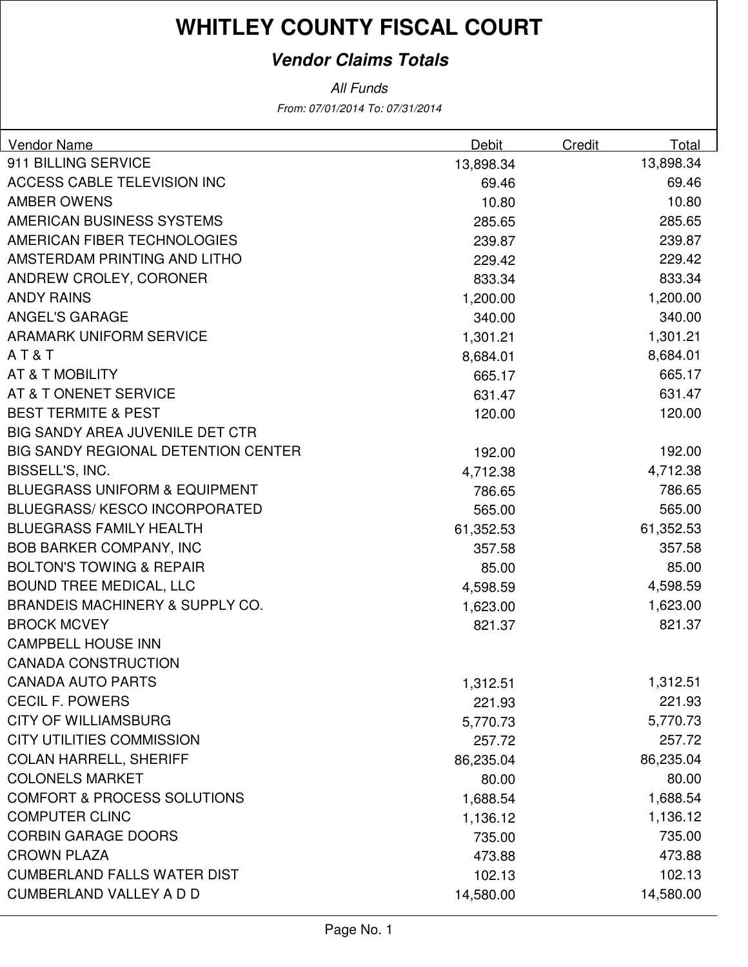### **Vendor Claims Totals**

From: 07/01/2014 To: 07/31/2014 All Funds

| Vendor Name                                | Debit     | Credit | Total     |
|--------------------------------------------|-----------|--------|-----------|
| 911 BILLING SERVICE                        | 13,898.34 |        | 13,898.34 |
| ACCESS CABLE TELEVISION INC                | 69.46     |        | 69.46     |
| <b>AMBER OWENS</b>                         | 10.80     |        | 10.80     |
| AMERICAN BUSINESS SYSTEMS                  | 285.65    |        | 285.65    |
| AMERICAN FIBER TECHNOLOGIES                | 239.87    |        | 239.87    |
| AMSTERDAM PRINTING AND LITHO               | 229.42    |        | 229.42    |
| ANDREW CROLEY, CORONER                     | 833.34    |        | 833.34    |
| <b>ANDY RAINS</b>                          | 1,200.00  |        | 1,200.00  |
| <b>ANGEL'S GARAGE</b>                      | 340.00    |        | 340.00    |
| <b>ARAMARK UNIFORM SERVICE</b>             | 1,301.21  |        | 1,301.21  |
| AT&T                                       | 8,684.01  |        | 8,684.01  |
| AT & T MOBILITY                            | 665.17    |        | 665.17    |
| AT & T ONENET SERVICE                      | 631.47    |        | 631.47    |
| <b>BEST TERMITE &amp; PEST</b>             | 120.00    |        | 120.00    |
| BIG SANDY AREA JUVENILE DET CTR            |           |        |           |
| <b>BIG SANDY REGIONAL DETENTION CENTER</b> | 192.00    |        | 192.00    |
| BISSELL'S, INC.                            | 4,712.38  |        | 4,712.38  |
| <b>BLUEGRASS UNIFORM &amp; EQUIPMENT</b>   | 786.65    |        | 786.65    |
| <b>BLUEGRASS/KESCO INCORPORATED</b>        | 565.00    |        | 565.00    |
| <b>BLUEGRASS FAMILY HEALTH</b>             | 61,352.53 |        | 61,352.53 |
| <b>BOB BARKER COMPANY, INC</b>             | 357.58    |        | 357.58    |
| <b>BOLTON'S TOWING &amp; REPAIR</b>        | 85.00     |        | 85.00     |
| <b>BOUND TREE MEDICAL, LLC</b>             | 4,598.59  |        | 4,598.59  |
| <b>BRANDEIS MACHINERY &amp; SUPPLY CO.</b> | 1,623.00  |        | 1,623.00  |
| <b>BROCK MCVEY</b>                         | 821.37    |        | 821.37    |
| <b>CAMPBELL HOUSE INN</b>                  |           |        |           |
| <b>CANADA CONSTRUCTION</b>                 |           |        |           |
| <b>CANADA AUTO PARTS</b>                   | 1,312.51  |        | 1,312.51  |
| <b>CECIL F. POWERS</b>                     | 221.93    |        | 221.93    |
| <b>CITY OF WILLIAMSBURG</b>                | 5,770.73  |        | 5,770.73  |
| <b>CITY UTILITIES COMMISSION</b>           | 257.72    |        | 257.72    |
| <b>COLAN HARRELL, SHERIFF</b>              | 86,235.04 |        | 86,235.04 |
| <b>COLONELS MARKET</b>                     | 80.00     |        | 80.00     |
| <b>COMFORT &amp; PROCESS SOLUTIONS</b>     | 1,688.54  |        | 1,688.54  |
| <b>COMPUTER CLINC</b>                      | 1,136.12  |        | 1,136.12  |
| <b>CORBIN GARAGE DOORS</b>                 | 735.00    |        | 735.00    |
| <b>CROWN PLAZA</b>                         | 473.88    |        | 473.88    |
| <b>CUMBERLAND FALLS WATER DIST</b>         | 102.13    |        | 102.13    |
| <b>CUMBERLAND VALLEY A D D</b>             | 14,580.00 |        | 14,580.00 |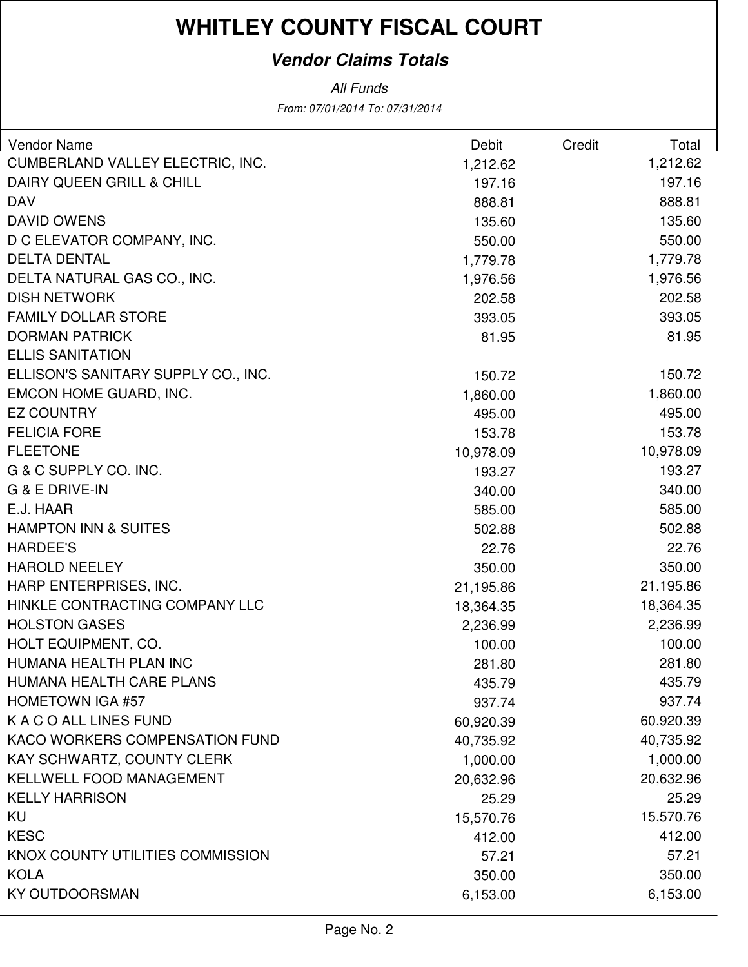### **Vendor Claims Totals**

All Funds

From: 07/01/2014 To: 07/31/2014

| <b>Vendor Name</b>                  | <b>Debit</b> | Credit | Total     |
|-------------------------------------|--------------|--------|-----------|
| CUMBERLAND VALLEY ELECTRIC, INC.    | 1,212.62     |        | 1,212.62  |
| DAIRY QUEEN GRILL & CHILL           | 197.16       |        | 197.16    |
| <b>DAV</b>                          | 888.81       |        | 888.81    |
| <b>DAVID OWENS</b>                  | 135.60       |        | 135.60    |
| D C ELEVATOR COMPANY, INC.          | 550.00       |        | 550.00    |
| <b>DELTA DENTAL</b>                 | 1,779.78     |        | 1,779.78  |
| DELTA NATURAL GAS CO., INC.         | 1,976.56     |        | 1,976.56  |
| <b>DISH NETWORK</b>                 | 202.58       |        | 202.58    |
| <b>FAMILY DOLLAR STORE</b>          | 393.05       |        | 393.05    |
| <b>DORMAN PATRICK</b>               | 81.95        |        | 81.95     |
| <b>ELLIS SANITATION</b>             |              |        |           |
| ELLISON'S SANITARY SUPPLY CO., INC. | 150.72       |        | 150.72    |
| EMCON HOME GUARD, INC.              | 1,860.00     |        | 1,860.00  |
| <b>EZ COUNTRY</b>                   | 495.00       |        | 495.00    |
| <b>FELICIA FORE</b>                 | 153.78       |        | 153.78    |
| <b>FLEETONE</b>                     | 10,978.09    |        | 10,978.09 |
| G & C SUPPLY CO. INC.               | 193.27       |        | 193.27    |
| <b>G &amp; E DRIVE-IN</b>           | 340.00       |        | 340.00    |
| E.J. HAAR                           | 585.00       |        | 585.00    |
| <b>HAMPTON INN &amp; SUITES</b>     | 502.88       |        | 502.88    |
| <b>HARDEE'S</b>                     | 22.76        |        | 22.76     |
| <b>HAROLD NEELEY</b>                | 350.00       |        | 350.00    |
| HARP ENTERPRISES, INC.              | 21,195.86    |        | 21,195.86 |
| HINKLE CONTRACTING COMPANY LLC      | 18,364.35    |        | 18,364.35 |
| <b>HOLSTON GASES</b>                | 2,236.99     |        | 2,236.99  |
| HOLT EQUIPMENT, CO.                 | 100.00       |        | 100.00    |
| HUMANA HEALTH PLAN INC              | 281.80       |        | 281.80    |
| HUMANA HEALTH CARE PLANS            | 435.79       |        | 435.79    |
| <b>HOMETOWN IGA #57</b>             | 937.74       |        | 937.74    |
| K A C O ALL LINES FUND              | 60,920.39    |        | 60,920.39 |
| KACO WORKERS COMPENSATION FUND      | 40,735.92    |        | 40,735.92 |
| KAY SCHWARTZ, COUNTY CLERK          | 1,000.00     |        | 1,000.00  |
| KELLWELL FOOD MANAGEMENT            | 20,632.96    |        | 20,632.96 |
| <b>KELLY HARRISON</b>               | 25.29        |        | 25.29     |
| KU                                  | 15,570.76    |        | 15,570.76 |
| <b>KESC</b>                         | 412.00       |        | 412.00    |
| KNOX COUNTY UTILITIES COMMISSION    | 57.21        |        | 57.21     |
| <b>KOLA</b>                         | 350.00       |        | 350.00    |
| <b>KY OUTDOORSMAN</b>               | 6,153.00     |        | 6,153.00  |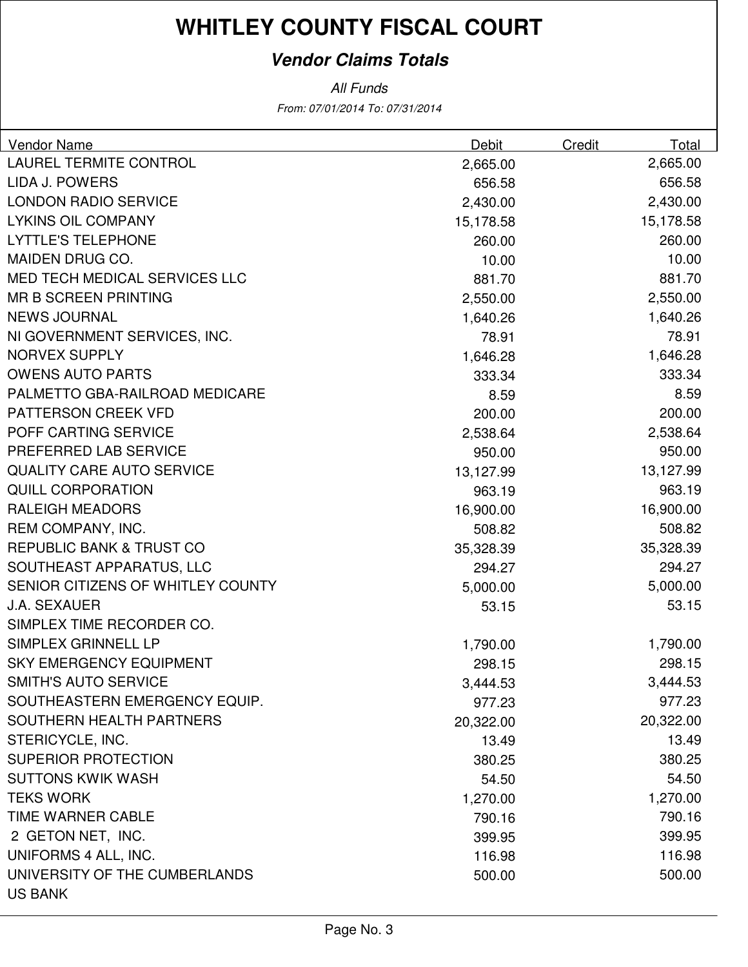### **Vendor Claims Totals**

From: 07/01/2014 To: 07/31/2014 All Funds

| Vendor Name                         | <b>Debit</b> | Credit | Total     |
|-------------------------------------|--------------|--------|-----------|
| <b>LAUREL TERMITE CONTROL</b>       | 2,665.00     |        | 2,665.00  |
| LIDA J. POWERS                      | 656.58       |        | 656.58    |
| <b>LONDON RADIO SERVICE</b>         | 2,430.00     |        | 2,430.00  |
| <b>LYKINS OIL COMPANY</b>           | 15,178.58    |        | 15,178.58 |
| <b>LYTTLE'S TELEPHONE</b>           | 260.00       |        | 260.00    |
| MAIDEN DRUG CO.                     | 10.00        |        | 10.00     |
| MED TECH MEDICAL SERVICES LLC       | 881.70       |        | 881.70    |
| <b>MR B SCREEN PRINTING</b>         | 2,550.00     |        | 2,550.00  |
| <b>NEWS JOURNAL</b>                 | 1,640.26     |        | 1,640.26  |
| NI GOVERNMENT SERVICES, INC.        | 78.91        |        | 78.91     |
| <b>NORVEX SUPPLY</b>                | 1,646.28     |        | 1,646.28  |
| <b>OWENS AUTO PARTS</b>             | 333.34       |        | 333.34    |
| PALMETTO GBA-RAILROAD MEDICARE      | 8.59         |        | 8.59      |
| PATTERSON CREEK VFD                 | 200.00       |        | 200.00    |
| POFF CARTING SERVICE                | 2,538.64     |        | 2,538.64  |
| PREFERRED LAB SERVICE               | 950.00       |        | 950.00    |
| <b>QUALITY CARE AUTO SERVICE</b>    | 13,127.99    |        | 13,127.99 |
| <b>QUILL CORPORATION</b>            | 963.19       |        | 963.19    |
| <b>RALEIGH MEADORS</b>              | 16,900.00    |        | 16,900.00 |
| REM COMPANY, INC.                   | 508.82       |        | 508.82    |
| <b>REPUBLIC BANK &amp; TRUST CO</b> | 35,328.39    |        | 35,328.39 |
| SOUTHEAST APPARATUS, LLC            | 294.27       |        | 294.27    |
| SENIOR CITIZENS OF WHITLEY COUNTY   | 5,000.00     |        | 5,000.00  |
| <b>J.A. SEXAUER</b>                 | 53.15        |        | 53.15     |
| SIMPLEX TIME RECORDER CO.           |              |        |           |
| SIMPLEX GRINNELL LP                 | 1,790.00     |        | 1,790.00  |
| <b>SKY EMERGENCY EQUIPMENT</b>      | 298.15       |        | 298.15    |
| <b>SMITH'S AUTO SERVICE</b>         | 3,444.53     |        | 3,444.53  |
| SOUTHEASTERN EMERGENCY EQUIP.       | 977.23       |        | 977.23    |
| SOUTHERN HEALTH PARTNERS            | 20,322.00    |        | 20,322.00 |
| STERICYCLE, INC.                    | 13.49        |        | 13.49     |
| <b>SUPERIOR PROTECTION</b>          | 380.25       |        | 380.25    |
| <b>SUTTONS KWIK WASH</b>            | 54.50        |        | 54.50     |
| <b>TEKS WORK</b>                    | 1,270.00     |        | 1,270.00  |
| TIME WARNER CABLE                   | 790.16       |        | 790.16    |
| 2 GETON NET, INC.                   | 399.95       |        | 399.95    |
| UNIFORMS 4 ALL, INC.                | 116.98       |        | 116.98    |
| UNIVERSITY OF THE CUMBERLANDS       | 500.00       |        | 500.00    |
| <b>US BANK</b>                      |              |        |           |